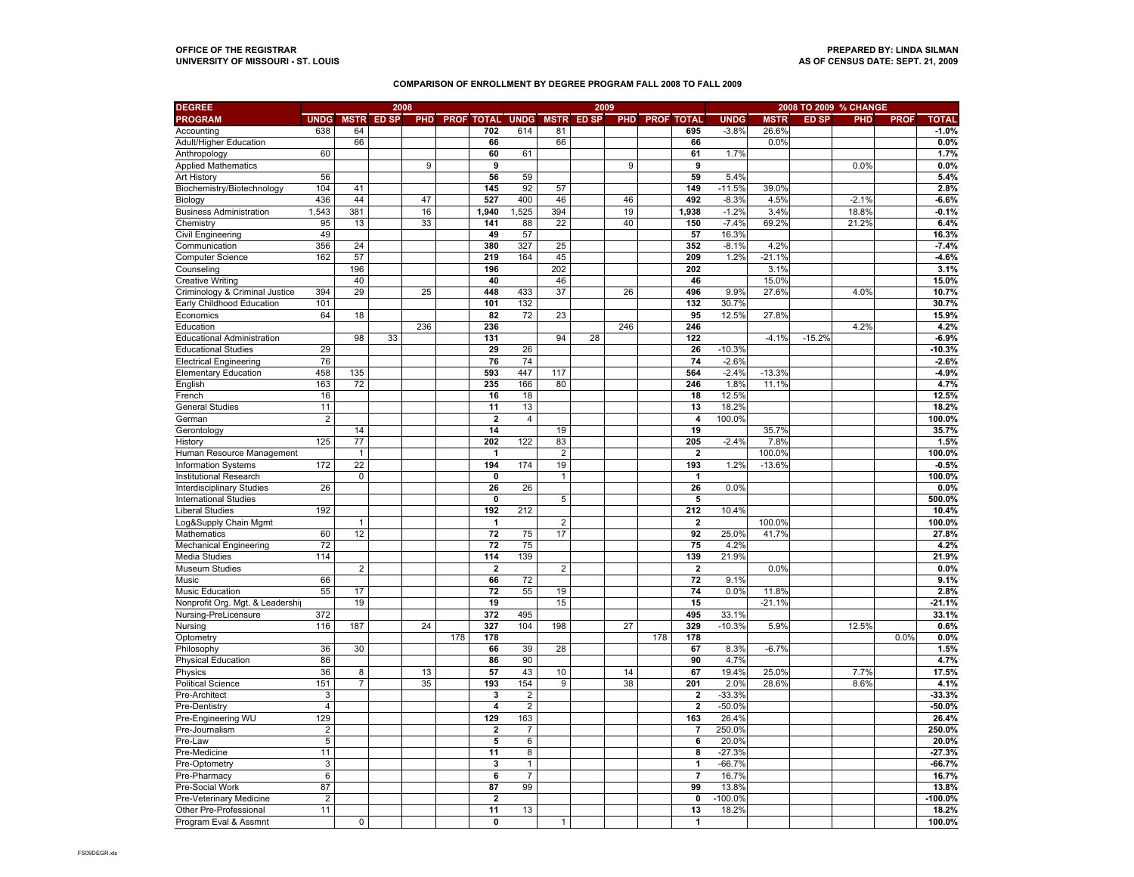## **COMPARISON OF ENROLLMENT BY DEGREE PROGRAM FALL 2008 TO FALL 2009**

| <b>DEGREE</b>                     |                         | 2008           |                   |     |     |                         |                  |              | 2009              |     |                       |                         | 2008 TO 2009 % CHANGE |             |              |         |             |               |  |
|-----------------------------------|-------------------------|----------------|-------------------|-----|-----|-------------------------|------------------|--------------|-------------------|-----|-----------------------|-------------------------|-----------------------|-------------|--------------|---------|-------------|---------------|--|
| <b>PROGRAM</b>                    | <b>UNDG</b>             |                | <b>MSTR ED SP</b> |     |     | PHD PROF TOTAL          | <b>UNDG</b>      |              | <b>MSTR ED SP</b> |     | <b>PHD PROF TOTAL</b> |                         | <b>UNDG</b>           | <b>MSTR</b> | <b>ED SP</b> | PHD     | <b>PROF</b> | <b>TOTAL</b>  |  |
| Accounting                        | 638                     | 64             |                   |     |     | 702                     | 614              | 81           |                   |     |                       | 695                     | $-3.8%$               | 26.6%       |              |         |             | $-1.0%$       |  |
| Adult/Higher Education            |                         | 66             |                   |     |     | 66                      |                  | 66           |                   |     |                       | 66                      |                       | 0.0%        |              |         |             | 0.0%          |  |
| Anthropology                      | 60                      |                |                   |     |     | 60                      | 61               |              |                   |     |                       | 61                      | 1.7%                  |             |              |         |             | 1.7%          |  |
| <b>Applied Mathematics</b>        |                         |                |                   | 9   |     | 9                       |                  |              |                   | 9   |                       | 9                       |                       |             |              | 0.0%    |             | 0.0%          |  |
| <b>Art History</b>                | 56                      |                |                   |     |     | 56                      | 59               |              |                   |     |                       | 59                      | 5.4%                  |             |              |         |             | 5.4%          |  |
| Biochemistry/Biotechnology        | 104                     | 41             |                   |     |     | 145                     | 92               | 57           |                   |     |                       | 149                     | $-11.5%$              | 39.0%       |              |         |             | 2.8%          |  |
| Biology                           | 436                     | 44             |                   | 47  |     | 527                     | 400              | 46           |                   | 46  |                       | 492                     | $-8.3%$               | 4.5%        |              | $-2.1%$ |             | $-6.6%$       |  |
| <b>Business Administration</b>    | 1,543                   | 381            |                   | 16  |     | 1,940                   | 1,525            | 394          |                   | 19  |                       | 1,938                   | $-1.2%$               | 3.4%        |              | 18.8%   |             | $-0.1%$       |  |
| Chemistry                         | 95                      | 13             |                   | 33  |     | 141                     | 88               | 22           |                   | 40  |                       | 150                     | $-7.4%$               | 69.2%       |              | 21.2%   |             | 6.4%          |  |
| Civil Engineering                 | 49                      |                |                   |     |     | 49                      | 57               |              |                   |     |                       | 57                      | 16.3%                 |             |              |         |             | 16.3%         |  |
| Communication                     | 356                     | 24             |                   |     |     | 380                     | 327              | 25           |                   |     |                       | 352                     | $-8.1%$               | 4.2%        |              |         |             | $-7.4%$       |  |
| <b>Computer Science</b>           | 162                     | 57             |                   |     |     | 219                     | 164              | 45           |                   |     |                       | 209                     | 1.2%                  | $-21.1%$    |              |         |             | $-4.6%$       |  |
| Counseling                        |                         | 196            |                   |     |     | 196                     |                  | 202          |                   |     |                       | 202                     |                       | 3.1%        |              |         |             | 3.1%          |  |
| <b>Creative Writing</b>           |                         | 40             |                   |     |     | 40                      |                  | 46           |                   |     |                       | 46                      |                       | 15.0%       |              |         |             | 15.0%         |  |
| Criminology & Criminal Justice    | 394                     | 29             |                   | 25  |     | 448                     | 433              | 37           |                   | 26  |                       | 496                     | 9.9%                  | 27.6%       |              | 4.0%    |             | 10.7%         |  |
| Early Childhood Education         | 101                     |                |                   |     |     | 101                     | 132              |              |                   |     |                       | 132                     | 30.7%                 |             |              |         |             | 30.7%         |  |
| Economics                         | 64                      | 18             |                   |     |     | 82                      | 72               | 23           |                   |     |                       | 95                      | 12.5%                 | 27.8%       |              |         |             | 15.9%         |  |
| Education                         |                         |                |                   | 236 |     | 236                     |                  |              |                   | 246 |                       | 246                     |                       |             |              | 4.2%    |             | 4.2%          |  |
| <b>Educational Administration</b> |                         | 98             | 33                |     |     | 131                     |                  | 94           | 28                |     |                       | 122                     |                       | $-4.1%$     | $-15.2%$     |         |             | $-6.9%$       |  |
| <b>Educational Studies</b>        | 29                      |                |                   |     |     | 29                      | 26               |              |                   |     |                       | 26                      | $-10.3%$              |             |              |         |             | $-10.3%$      |  |
| <b>Electrical Engineering</b>     | 76                      |                |                   |     |     | 76                      | 74               |              |                   |     |                       | 74                      | $-2.6%$               |             |              |         |             | $-2.6%$       |  |
| <b>Elementary Education</b>       | 458                     | 135            |                   |     |     | 593                     | 447              | 117          |                   |     |                       | 564                     | $-2.4%$               | $-13.3%$    |              |         |             | $-4.9%$       |  |
|                                   | 163                     | 72             |                   |     |     | 235                     | 166              | 80           |                   |     |                       | 246                     | 1.8%                  | 11.1%       |              |         |             |               |  |
| English                           | 16                      |                |                   |     |     | 16                      | 18               |              |                   |     |                       | 18                      | 12.5%                 |             |              |         |             | 4.7%<br>12.5% |  |
| French<br><b>General Studies</b>  | 11                      |                |                   |     |     | 11                      | 13               |              |                   |     |                       | 13                      | 18.2%                 |             |              |         |             | 18.2%         |  |
|                                   |                         |                |                   |     |     | $\overline{2}$          |                  |              |                   |     |                       | $\overline{4}$          |                       |             |              |         |             |               |  |
| German                            | $\overline{2}$          |                |                   |     |     | 14                      | $\overline{4}$   |              |                   |     |                       |                         | 100.0%                | 35.7%       |              |         |             | 100.0%        |  |
| Gerontology                       |                         | 14             |                   |     |     |                         |                  | 19           |                   |     |                       | 19                      |                       |             |              |         |             | 35.7%         |  |
| History                           | 125                     | 77             |                   |     |     | 202<br>1                | 122              | 83           |                   |     |                       | 205                     | $-2.4%$               | 7.8%        |              |         |             | 1.5%          |  |
| Human Resource Management         |                         | $\mathbf{1}$   |                   |     |     |                         |                  | 2            |                   |     |                       | $\overline{\mathbf{2}}$ |                       | 100.0%      |              |         |             | 100.0%        |  |
| Information Systems               | 172                     | 22             |                   |     |     | 194                     | 174              | 19           |                   |     |                       | 193                     | 1.2%                  | $-13.6%$    |              |         |             | $-0.5%$       |  |
| Institutional Research            |                         | $\mathbf 0$    |                   |     |     | $\mathbf{0}$            |                  | $\mathbf{1}$ |                   |     |                       | $\mathbf{1}$            |                       |             |              |         |             | 100.0%        |  |
| <b>Interdisciplinary Studies</b>  | 26                      |                |                   |     |     | 26                      | 26               |              |                   |     |                       | 26                      | 0.0%                  |             |              |         |             | 0.0%          |  |
| <b>International Studies</b>      |                         |                |                   |     |     | $\mathbf 0$             |                  | 5            |                   |     |                       | 5                       |                       |             |              |         |             | 500.0%        |  |
| <b>Liberal Studies</b>            | 192                     |                |                   |     |     | 192                     | 212              |              |                   |     |                       | 212                     | 10.4%                 |             |              |         |             | 10.4%         |  |
| Log&Supply Chain Mgmt             |                         | $\mathbf{1}$   |                   |     |     | 1                       |                  | 2            |                   |     |                       | $\overline{2}$          |                       | 100.0%      |              |         |             | 100.0%        |  |
| Mathematics                       | 60                      | 12             |                   |     |     | 72                      | 75               | 17           |                   |     |                       | 92                      | 25.0%                 | 41.7%       |              |         |             | 27.8%         |  |
| <b>Mechanical Engineering</b>     | 72                      |                |                   |     |     | 72                      | 75               |              |                   |     |                       | 75                      | 4.2%                  |             |              |         |             | 4.2%          |  |
| Media Studies                     | 114                     |                |                   |     |     | 114                     | 139              |              |                   |     |                       | 139                     | 21.9%                 |             |              |         |             | 21.9%         |  |
| <b>Museum Studies</b>             |                         | $\overline{2}$ |                   |     |     | $\overline{\mathbf{2}}$ |                  | 2            |                   |     |                       | $\overline{2}$          |                       | 0.0%        |              |         |             | 0.0%          |  |
| Music                             | 66                      |                |                   |     |     | 66                      | 72               |              |                   |     |                       | 72                      | 9.1%                  |             |              |         |             | 9.1%          |  |
| <b>Music Education</b>            | 55                      | 17             |                   |     |     | 72                      | 55               | 19           |                   |     |                       | 74                      | 0.0%                  | 11.8%       |              |         |             | 2.8%          |  |
| Nonprofit Org. Mgt. & Leadership  |                         | 19             |                   |     |     | 19                      |                  | 15           |                   |     |                       | 15                      |                       | $-21.1%$    |              |         |             | $-21.1%$      |  |
| Nursing-PreLicensure              | 372                     |                |                   |     |     | 372                     | 495              |              |                   |     |                       | 495                     | 33.1%                 |             |              |         |             | 33.1%         |  |
| Nursing                           | 116                     | 187            |                   | 24  |     | 327                     | 104              | 198          |                   | 27  |                       | 329                     | $-10.3%$              | 5.9%        |              | 12.5%   |             | 0.6%          |  |
| Optometry                         |                         |                |                   |     | 178 | 178                     |                  |              |                   |     | 178                   | 178                     |                       |             |              |         | 0.0%        | 0.0%          |  |
| Philosophy                        | 36                      | 30             |                   |     |     | 66                      | 39               | 28           |                   |     |                       | 67                      | 8.3%                  | $-6.7%$     |              |         |             | 1.5%          |  |
| <b>Physical Education</b>         | 86                      |                |                   |     |     | 86                      | 90               |              |                   |     |                       | 90                      | 4.7%                  |             |              |         |             | 4.7%          |  |
| Physics                           | 36                      | 8              |                   | 13  |     | 57                      | 43               | 10           |                   | 14  |                       | 67                      | 19.4%                 | 25.0%       |              | 7.7%    |             | 17.5%         |  |
| <b>Political Science</b>          | 151                     | $\overline{7}$ |                   | 35  |     | 193                     | 154              | 9            |                   | 38  |                       | 201                     | 2.0%                  | 28.6%       |              | 8.6%    |             | 4.1%          |  |
| Pre-Architect                     | 3                       |                |                   |     |     | 3                       | $\boldsymbol{2}$ |              |                   |     |                       | $\mathbf 2$             | $-33.3%$              |             |              |         |             | $-33.3%$      |  |
| Pre-Dentistry                     | $\overline{4}$          |                |                   |     |     | 4                       | 2                |              |                   |     |                       | $\overline{\mathbf{2}}$ | $-50.0%$              |             |              |         |             | $-50.0%$      |  |
| Pre-Engineering WU                | 129                     |                |                   |     |     | 129                     | 163              |              |                   |     |                       | 163                     | 26.4%                 |             |              |         |             | 26.4%         |  |
| Pre-Journalism                    | $\overline{2}$          |                |                   |     |     | $\overline{2}$          | $\overline{7}$   |              |                   |     |                       | 7                       | 250.0%                |             |              |         |             | 250.0%        |  |
| Pre-Law                           | 5                       |                |                   |     |     | 5                       | 6                |              |                   |     |                       | 6                       | 20.0%                 |             |              |         |             | 20.0%         |  |
| Pre-Medicine                      | 11                      |                |                   |     |     | 11                      | 8                |              |                   |     |                       | 8                       | $-27.3%$              |             |              |         |             | $-27.3%$      |  |
| Pre-Optometry                     | 3                       |                |                   |     |     | 3                       | $\mathbf{1}$     |              |                   |     |                       | 1                       | $-66.7%$              |             |              |         |             | $-66.7%$      |  |
| Pre-Pharmacy                      | 6                       |                |                   |     |     | 6                       | $\overline{7}$   |              |                   |     |                       | $\overline{7}$          | 16.7%                 |             |              |         |             | 16.7%         |  |
| Pre-Social Work                   | 87                      |                |                   |     |     | 87                      | 99               |              |                   |     |                       | 99                      | 13.8%                 |             |              |         |             | 13.8%         |  |
| Pre-Veterinary Medicine           | $\overline{\mathbf{c}}$ |                |                   |     |     | $\overline{2}$          |                  |              |                   |     |                       | 0                       | $-100.0%$             |             |              |         |             | $-100.0%$     |  |
| Other Pre-Professional            | 11                      |                |                   |     |     | 11                      | 13               |              |                   |     |                       | 13                      | 18.2%                 |             |              |         |             | 18.2%         |  |
| Program Eval & Assmnt             |                         | $\overline{0}$ |                   |     |     | 0                       |                  | $\mathbf{1}$ |                   |     |                       |                         |                       |             |              |         |             | 100.0%        |  |